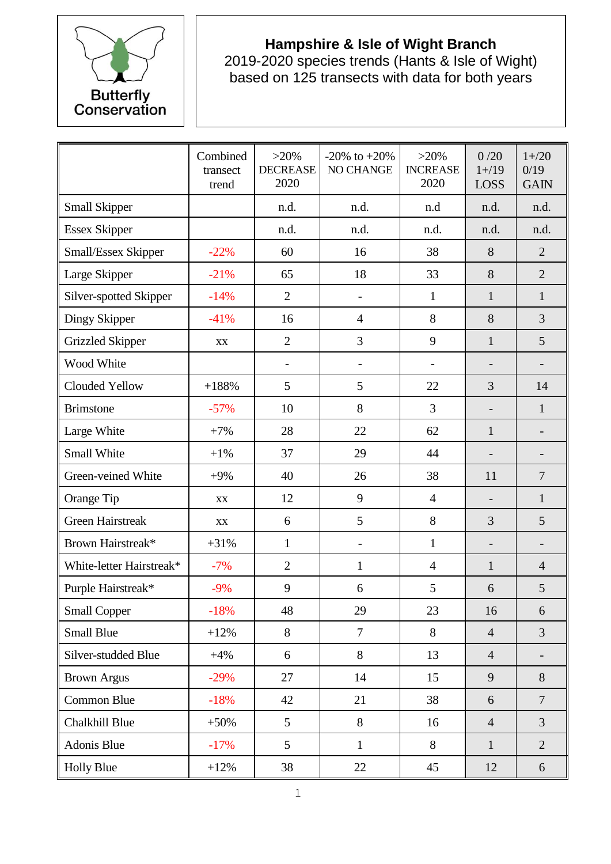

## **Hampshire & Isle of Wight Branch**

2019-2020 species trends (Hants & Isle of Wight) based on 125 transects with data for both years

|                          | Combined<br>transect<br>trend | $>20\%$<br><b>DECREASE</b><br>2020 | $-20\%$ to $+20\%$<br><b>NO CHANGE</b> | $>20\%$<br><b>INCREASE</b><br>2020 | 0/20<br>$1 + / 19$<br>LOSS | $1 + 20$<br>0/19<br><b>GAIN</b> |
|--------------------------|-------------------------------|------------------------------------|----------------------------------------|------------------------------------|----------------------------|---------------------------------|
| <b>Small Skipper</b>     |                               | n.d.                               | n.d.                                   | n.d                                | n.d.                       | n.d.                            |
| <b>Essex Skipper</b>     |                               | n.d.                               | n.d.                                   | n.d.                               | n.d.                       | n.d.                            |
| Small/Essex Skipper      | $-22%$                        | 60                                 | 16                                     | 38                                 | 8                          | $\overline{2}$                  |
| Large Skipper            | $-21%$                        | 65                                 | 18                                     | 33                                 | 8                          | $\overline{2}$                  |
| Silver-spotted Skipper   | $-14%$                        | $\overline{2}$                     | -                                      | $\mathbf{1}$                       | $\mathbf{1}$               | $\mathbf{1}$                    |
| Dingy Skipper            | $-41%$                        | 16                                 | 4                                      | 8                                  | 8                          | $\overline{3}$                  |
| <b>Grizzled Skipper</b>  | XX                            | $\overline{2}$                     | 3                                      | 9                                  | $\mathbf{1}$               | 5                               |
| Wood White               |                               | $\overline{\phantom{a}}$           | -                                      | $\overline{\phantom{0}}$           |                            |                                 |
| Clouded Yellow           | $+188%$                       | 5                                  | 5                                      | 22                                 | $\overline{3}$             | 14                              |
| <b>Brimstone</b>         | $-57%$                        | 10                                 | 8                                      | $\overline{3}$                     |                            | $\mathbf{1}$                    |
| Large White              | $+7%$                         | 28                                 | 22                                     | 62                                 | $\mathbf{1}$               |                                 |
| <b>Small White</b>       | $+1%$                         | 37                                 | 29                                     | 44                                 | $\overline{\phantom{a}}$   |                                 |
| Green-veined White       | $+9%$                         | 40                                 | 26                                     | 38                                 | 11                         | $\overline{7}$                  |
| Orange Tip               | XX                            | 12                                 | 9                                      | $\overline{4}$                     |                            | $\mathbf{1}$                    |
| <b>Green Hairstreak</b>  | XX                            | 6                                  | 5                                      | 8                                  | 3                          | 5                               |
| Brown Hairstreak*        | $+31%$                        | $\mathbf{1}$                       | $\overline{a}$                         | $\mathbf{1}$                       |                            |                                 |
| White-letter Hairstreak* | $-7%$                         | $\overline{2}$                     | $\mathbf{1}$                           | $\overline{4}$                     | $\mathbf{1}$               | $\overline{4}$                  |
| Purple Hairstreak*       | $-9%$                         | 9                                  | 6                                      | 5                                  | 6                          | 5                               |
| <b>Small Copper</b>      | $-18%$                        | 48                                 | 29                                     | 23                                 | 16                         | 6                               |
| <b>Small Blue</b>        | $+12%$                        | 8                                  | $\overline{7}$                         | 8                                  | $\overline{4}$             | $\overline{3}$                  |
| Silver-studded Blue      | $+4%$                         | 6                                  | 8                                      | 13                                 | $\overline{4}$             |                                 |
| <b>Brown Argus</b>       | $-29%$                        | 27                                 | 14                                     | 15                                 | 9                          | 8                               |
| Common Blue              | $-18%$                        | 42                                 | 21                                     | 38                                 | 6                          | $\overline{7}$                  |
| Chalkhill Blue           | $+50%$                        | 5                                  | 8                                      | 16                                 | $\overline{4}$             | $\overline{3}$                  |
| Adonis Blue              | $-17%$                        | 5                                  | $\mathbf{1}$                           | 8                                  | $\mathbf{1}$               | $\overline{2}$                  |
| <b>Holly Blue</b>        | $+12%$                        | 38                                 | 22                                     | 45                                 | 12                         | 6                               |